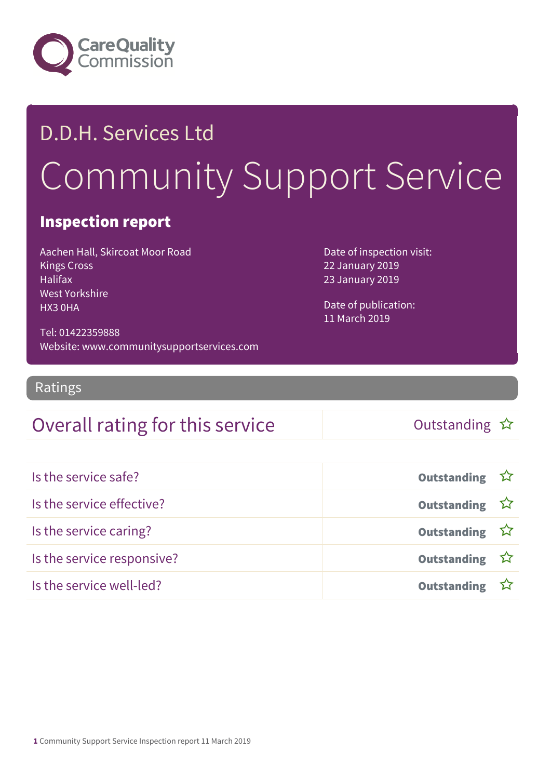

# D.D.H. Services Ltd Community Support Service

#### Inspection report

Aachen Hall, Skircoat Moor Road Kings Cross Halifax West Yorkshire HX3 0HA

Date of inspection visit: 22 January 2019 23 January 2019

Date of publication: 11 March 2019

Tel: 01422359888 Website: www.communitysupportservices.com

Ratings

#### Overall rating for this service and the Cutstanding  $\hat{x}$

| Is the service safe?       | Outstanding ☆         |  |
|----------------------------|-----------------------|--|
| Is the service effective?  | Outstanding ☆         |  |
| Is the service caring?     | Outstanding $\hat{W}$ |  |
| Is the service responsive? | Outstanding ☆         |  |
| Is the service well-led?   | Outstanding ☆         |  |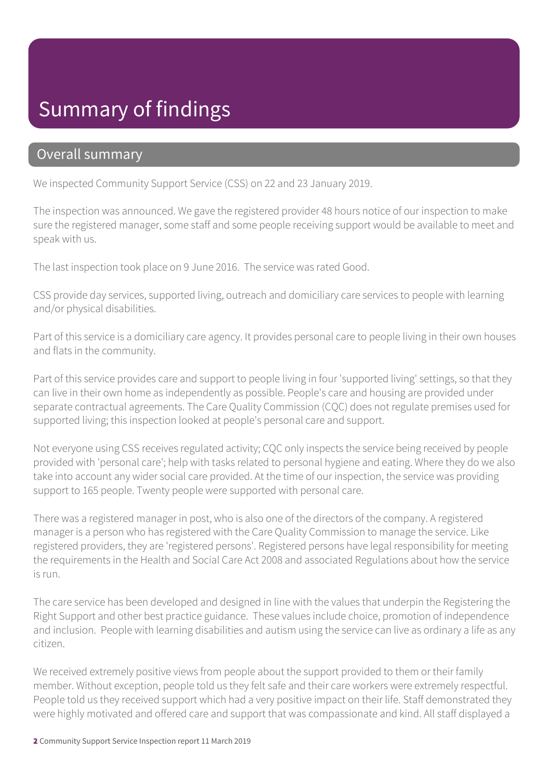## Summary of findings

#### Overall summary

We inspected Community Support Service (CSS) on 22 and 23 January 2019.

The inspection was announced. We gave the registered provider 48 hours notice of our inspection to make sure the registered manager, some staff and some people receiving support would be available to meet and speak with us.

The last inspection took place on 9 June 2016. The service was rated Good.

CSS provide day services, supported living, outreach and domiciliary care services to people with learning and/or physical disabilities.

Part of this service is a domiciliary care agency. It provides personal care to people living in their own houses and flats in the community.

Part of this service provides care and support to people living in four 'supported living' settings, so that they can live in their own home as independently as possible. People's care and housing are provided under separate contractual agreements. The Care Quality Commission (CQC) does not regulate premises used for supported living; this inspection looked at people's personal care and support.

Not everyone using CSS receives regulated activity; CQC only inspects the service being received by people provided with 'personal care'; help with tasks related to personal hygiene and eating. Where they do we also take into account any wider social care provided. At the time of our inspection, the service was providing support to 165 people. Twenty people were supported with personal care.

There was a registered manager in post, who is also one of the directors of the company. A registered manager is a person who has registered with the Care Quality Commission to manage the service. Like registered providers, they are 'registered persons'. Registered persons have legal responsibility for meeting the requirements in the Health and Social Care Act 2008 and associated Regulations about how the service is run.

The care service has been developed and designed in line with the values that underpin the Registering the Right Support and other best practice guidance. These values include choice, promotion of independence and inclusion. People with learning disabilities and autism using the service can live as ordinary a life as any citizen.

We received extremely positive views from people about the support provided to them or their family member. Without exception, people told us they felt safe and their care workers were extremely respectful. People told us they received support which had a very positive impact on their life. Staff demonstrated they were highly motivated and offered care and support that was compassionate and kind. All staff displayed a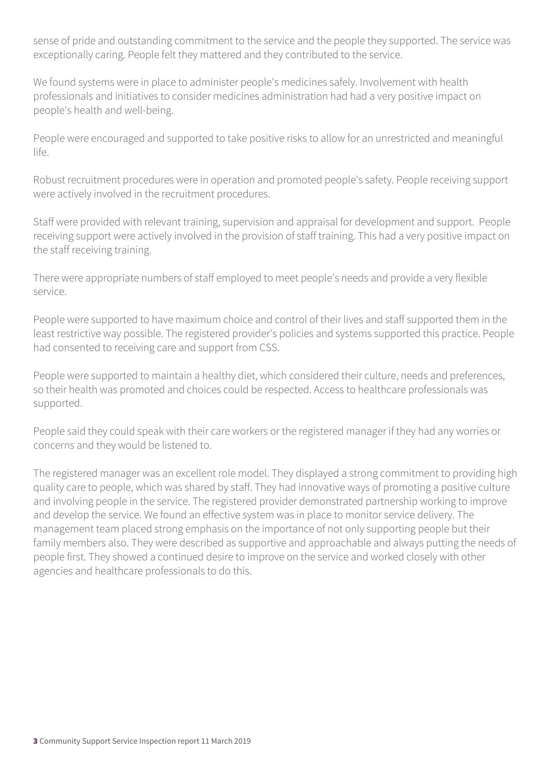sense of pride and outstanding commitment to the service and the people they supported. The service was exceptionally caring. People felt they mattered and they contributed to the service.

We found systems were in place to administer people's medicines safely. Involvement with health professionals and initiatives to consider medicines administration had had a very positive impact on people's health and well-being.

People were encouraged and supported to take positive risks to allow for an unrestricted and meaningful life.

Robust recruitment procedures were in operation and promoted people's safety. People receiving support were actively involved in the recruitment procedures.

Staff were provided with relevant training, supervision and appraisal for development and support. People receiving support were actively involved in the provision of staff training. This had a very positive impact on the staff receiving training.

There were appropriate numbers of staff employed to meet people's needs and provide a very flexible service.

People were supported to have maximum choice and control of their lives and staff supported them in the least restrictive way possible. The registered provider's policies and systems supported this practice. People had consented to receiving care and support from CSS.

People were supported to maintain a healthy diet, which considered their culture, needs and preferences, so their health was promoted and choices could be respected. Access to healthcare professionals was supported.

People said they could speak with their care workers or the registered manager if they had any worries or concerns and they would be listened to.

The registered manager was an excellent role model. They displayed a strong commitment to providing high quality care to people, which was shared by staff. They had innovative ways of promoting a positive culture and involving people in the service. The registered provider demonstrated partnership working to improve and develop the service. We found an effective system was in place to monitor service delivery. The management team placed strong emphasis on the importance of not only supporting people but their family members also. They were described as supportive and approachable and always putting the needs of people first. They showed a continued desire to improve on the service and worked closely with other agencies and healthcare professionals to do this.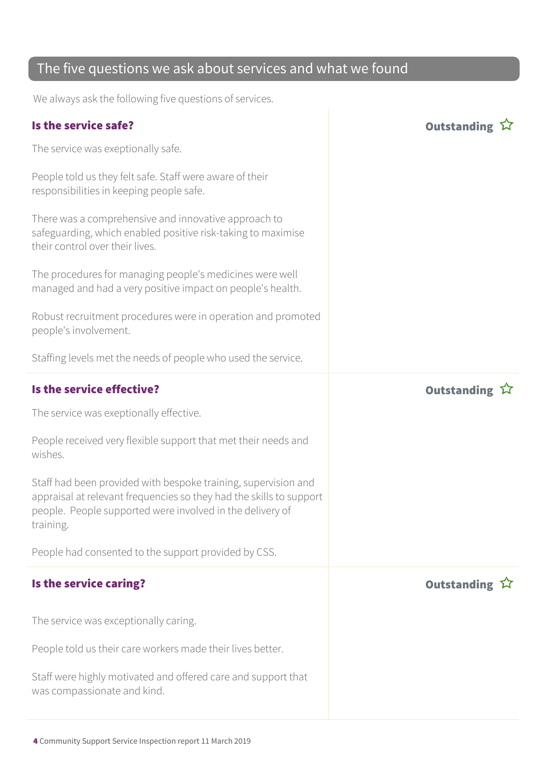#### The five questions we ask about services and what we found

We always ask the following five questions of services.

#### Is the service safe? Outstanding The service was exeptionally safe. People told us they felt safe. Staff were aware of their responsibilities in keeping people safe. There was a comprehensive and innovative approach to safeguarding, which enabled positive risk-taking to maximise their control over their lives. The procedures for managing people's medicines were well managed and had a very positive impact on people's health. Robust recruitment procedures were in operation and promoted people's involvement. Staffing levels met the needs of people who used the service. Is the service effective? In the service effective? The service was exeptionally effective. People received very flexible support that met their needs and wishes. Staff had been provided with bespoke training, supervision and appraisal at relevant frequencies so they had the skills to support people. People supported were involved in the delivery of training. People had consented to the support provided by CSS. Is the service caring? The service caring  $\hat{X}$ The service was exceptionally caring. People told us their care workers made their lives better. Staff were highly motivated and offered care and support that was compassionate and kind.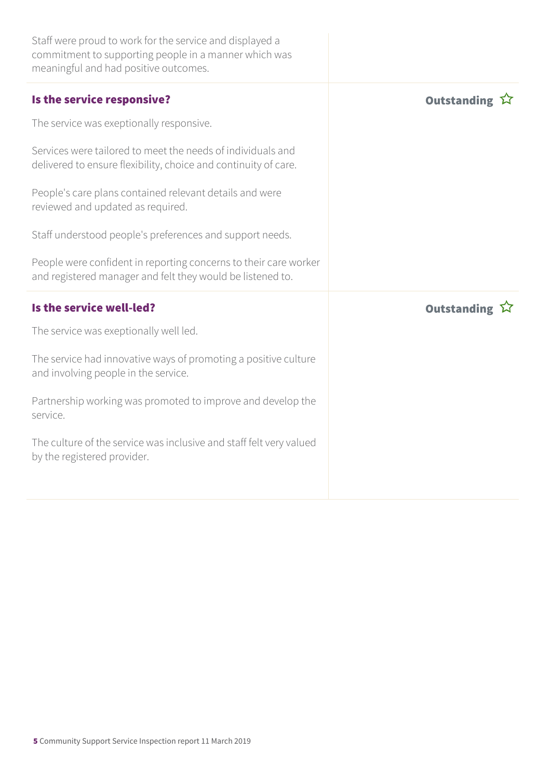| Staff were proud to work for the service and displayed a<br>commitment to supporting people in a manner which was<br>meaningful and had positive outcomes. |                    |
|------------------------------------------------------------------------------------------------------------------------------------------------------------|--------------------|
| Is the service responsive?                                                                                                                                 | <b>Outstanding</b> |
| The service was exeptionally responsive.                                                                                                                   |                    |
| Services were tailored to meet the needs of individuals and<br>delivered to ensure flexibility, choice and continuity of care.                             |                    |
| People's care plans contained relevant details and were<br>reviewed and updated as required.                                                               |                    |
| Staff understood people's preferences and support needs.                                                                                                   |                    |
| People were confident in reporting concerns to their care worker<br>and registered manager and felt they would be listened to.                             |                    |
|                                                                                                                                                            |                    |
| Is the service well-led?                                                                                                                                   | <b>Outstanding</b> |
| The service was exeptionally well led.                                                                                                                     |                    |
| The service had innovative ways of promoting a positive culture<br>and involving people in the service.                                                    |                    |
| Partnership working was promoted to improve and develop the<br>service.                                                                                    |                    |
| The culture of the service was inclusive and staff felt very valued<br>by the registered provider.                                                         |                    |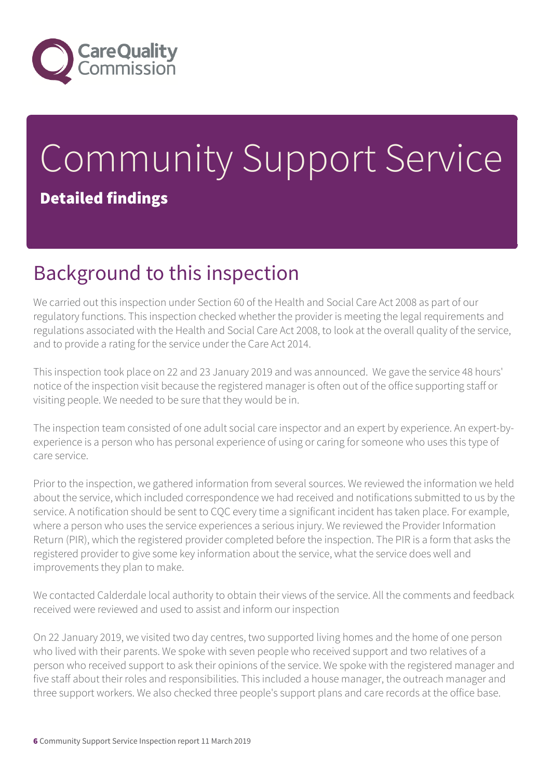

# Community Support Service Detailed findings

# Background to this inspection

We carried out this inspection under Section 60 of the Health and Social Care Act 2008 as part of our regulatory functions. This inspection checked whether the provider is meeting the legal requirements and regulations associated with the Health and Social Care Act 2008, to look at the overall quality of the service, and to provide a rating for the service under the Care Act 2014.

This inspection took place on 22 and 23 January 2019 and was announced. We gave the service 48 hours' notice of the inspection visit because the registered manager is often out of the office supporting staff or visiting people. We needed to be sure that they would be in.

The inspection team consisted of one adult social care inspector and an expert by experience. An expert-byexperience is a person who has personal experience of using or caring for someone who uses this type of care service.

Prior to the inspection, we gathered information from several sources. We reviewed the information we held about the service, which included correspondence we had received and notifications submitted to us by the service. A notification should be sent to CQC every time a significant incident has taken place. For example, where a person who uses the service experiences a serious injury. We reviewed the Provider Information Return (PIR), which the registered provider completed before the inspection. The PIR is a form that asks the registered provider to give some key information about the service, what the service does well and improvements they plan to make.

We contacted Calderdale local authority to obtain their views of the service. All the comments and feedback received were reviewed and used to assist and inform our inspection

On 22 January 2019, we visited two day centres, two supported living homes and the home of one person who lived with their parents. We spoke with seven people who received support and two relatives of a person who received support to ask their opinions of the service. We spoke with the registered manager and five staff about their roles and responsibilities. This included a house manager, the outreach manager and three support workers. We also checked three people's support plans and care records at the office base.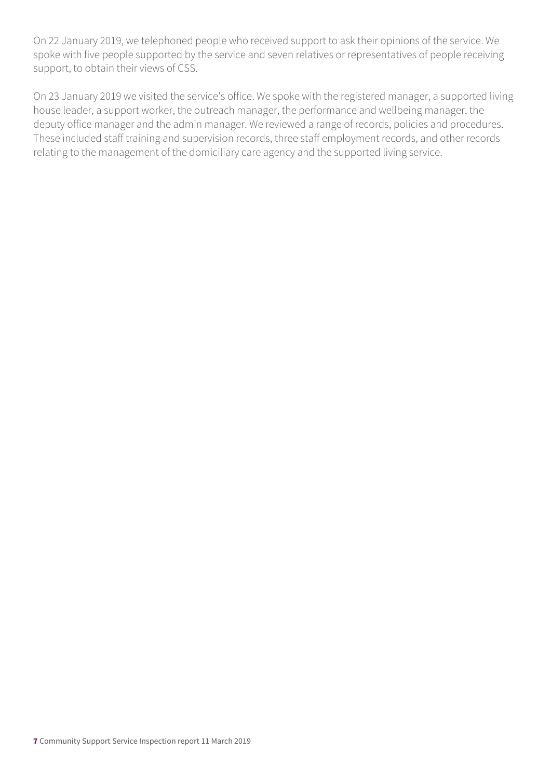On 22 January 2019, we telephoned people who received support to ask their opinions of the service. We spoke with five people supported by the service and seven relatives or representatives of people receiving support, to obtain their views of CSS.

On 23 January 2019 we visited the service's office. We spoke with the registered manager, a supported living house leader, a support worker, the outreach manager, the performance and wellbeing manager, the deputy office manager and the admin manager. We reviewed a range of records, policies and procedures. These included staff training and supervision records, three staff employment records, and other records relating to the management of the domiciliary care agency and the supported living service.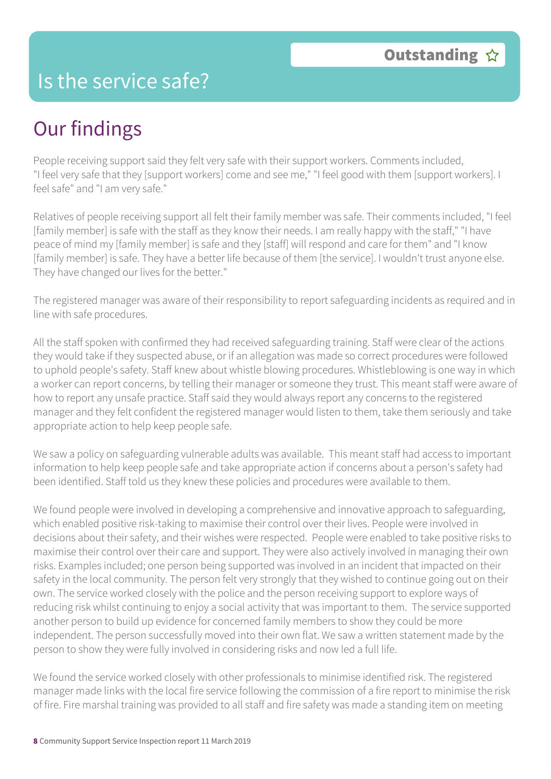#### Is the service safe?

# Our findings

People receiving support said they felt very safe with their support workers. Comments included, "I feel very safe that they [support workers] come and see me," "I feel good with them [support workers]. I feel safe" and "I am very safe."

Relatives of people receiving support all felt their family member was safe. Their comments included, "I feel [family member] is safe with the staff as they know their needs. I am really happy with the staff," "I have peace of mind my [family member] is safe and they [staff] will respond and care for them" and "I know [family member] is safe. They have a better life because of them [the service]. I wouldn't trust anyone else. They have changed our lives for the better."

The registered manager was aware of their responsibility to report safeguarding incidents as required and in line with safe procedures.

All the staff spoken with confirmed they had received safeguarding training. Staff were clear of the actions they would take if they suspected abuse, or if an allegation was made so correct procedures were followed to uphold people's safety. Staff knew about whistle blowing procedures. Whistleblowing is one way in which a worker can report concerns, by telling their manager or someone they trust. This meant staff were aware of how to report any unsafe practice. Staff said they would always report any concerns to the registered manager and they felt confident the registered manager would listen to them, take them seriously and take appropriate action to help keep people safe.

We saw a policy on safeguarding vulnerable adults was available. This meant staff had access to important information to help keep people safe and take appropriate action if concerns about a person's safety had been identified. Staff told us they knew these policies and procedures were available to them.

We found people were involved in developing a comprehensive and innovative approach to safeguarding, which enabled positive risk-taking to maximise their control over their lives. People were involved in decisions about their safety, and their wishes were respected. People were enabled to take positive risks to maximise their control over their care and support. They were also actively involved in managing their own risks. Examples included; one person being supported was involved in an incident that impacted on their safety in the local community. The person felt very strongly that they wished to continue going out on their own. The service worked closely with the police and the person receiving support to explore ways of reducing risk whilst continuing to enjoy a social activity that was important to them. The service supported another person to build up evidence for concerned family members to show they could be more independent. The person successfully moved into their own flat. We saw a written statement made by the person to show they were fully involved in considering risks and now led a full life.

We found the service worked closely with other professionals to minimise identified risk. The registered manager made links with the local fire service following the commission of a fire report to minimise the risk of fire. Fire marshal training was provided to all staff and fire safety was made a standing item on meeting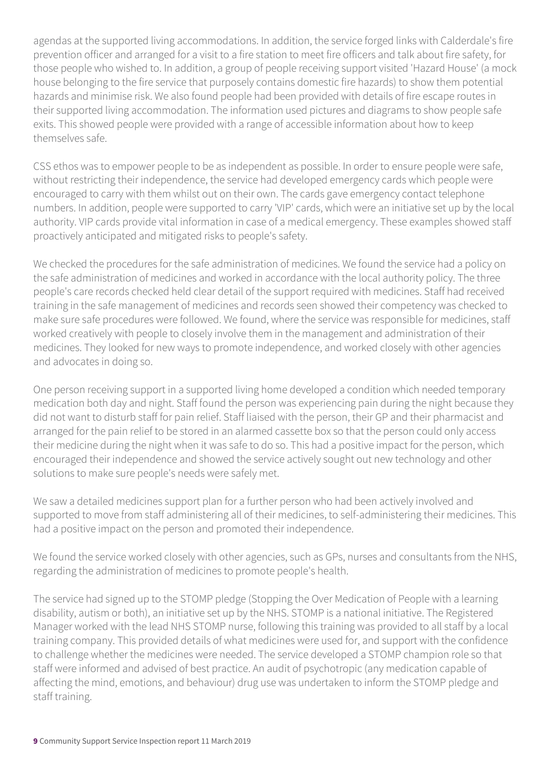agendas at the supported living accommodations. In addition, the service forged links with Calderdale's fire prevention officer and arranged for a visit to a fire station to meet fire officers and talk about fire safety, for those people who wished to. In addition, a group of people receiving support visited 'Hazard House' (a mock house belonging to the fire service that purposely contains domestic fire hazards) to show them potential hazards and minimise risk. We also found people had been provided with details of fire escape routes in their supported living accommodation. The information used pictures and diagrams to show people safe exits. This showed people were provided with a range of accessible information about how to keep themselves safe.

CSS ethos was to empower people to be as independent as possible. In order to ensure people were safe, without restricting their independence, the service had developed emergency cards which people were encouraged to carry with them whilst out on their own. The cards gave emergency contact telephone numbers. In addition, people were supported to carry 'VIP' cards, which were an initiative set up by the local authority. VIP cards provide vital information in case of a medical emergency. These examples showed staff proactively anticipated and mitigated risks to people's safety.

We checked the procedures for the safe administration of medicines. We found the service had a policy on the safe administration of medicines and worked in accordance with the local authority policy. The three people's care records checked held clear detail of the support required with medicines. Staff had received training in the safe management of medicines and records seen showed their competency was checked to make sure safe procedures were followed. We found, where the service was responsible for medicines, staff worked creatively with people to closely involve them in the management and administration of their medicines. They looked for new ways to promote independence, and worked closely with other agencies and advocates in doing so.

One person receiving support in a supported living home developed a condition which needed temporary medication both day and night. Staff found the person was experiencing pain during the night because they did not want to disturb staff for pain relief. Staff liaised with the person, their GP and their pharmacist and arranged for the pain relief to be stored in an alarmed cassette box so that the person could only access their medicine during the night when it was safe to do so. This had a positive impact for the person, which encouraged their independence and showed the service actively sought out new technology and other solutions to make sure people's needs were safely met.

We saw a detailed medicines support plan for a further person who had been actively involved and supported to move from staff administering all of their medicines, to self-administering their medicines. This had a positive impact on the person and promoted their independence.

We found the service worked closely with other agencies, such as GPs, nurses and consultants from the NHS, regarding the administration of medicines to promote people's health.

The service had signed up to the STOMP pledge (Stopping the Over Medication of People with a learning disability, autism or both), an initiative set up by the NHS. STOMP is a national initiative. The Registered Manager worked with the lead NHS STOMP nurse, following this training was provided to all staff by a local training company. This provided details of what medicines were used for, and support with the confidence to challenge whether the medicines were needed. The service developed a STOMP champion role so that staff were informed and advised of best practice. An audit of psychotropic (any medication capable of affecting the mind, emotions, and behaviour) drug use was undertaken to inform the STOMP pledge and staff training.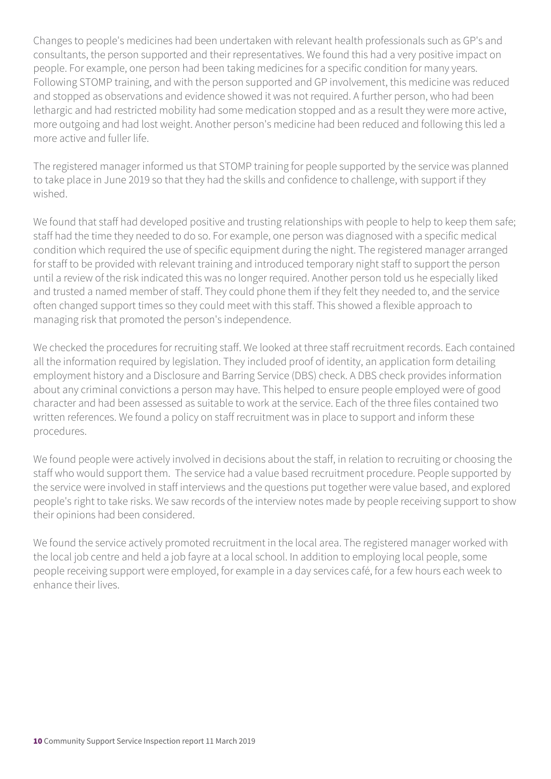Changes to people's medicines had been undertaken with relevant health professionals such as GP's and consultants, the person supported and their representatives. We found this had a very positive impact on people. For example, one person had been taking medicines for a specific condition for many years. Following STOMP training, and with the person supported and GP involvement, this medicine was reduced and stopped as observations and evidence showed it was not required. A further person, who had been lethargic and had restricted mobility had some medication stopped and as a result they were more active, more outgoing and had lost weight. Another person's medicine had been reduced and following this led a more active and fuller life.

The registered manager informed us that STOMP training for people supported by the service was planned to take place in June 2019 so that they had the skills and confidence to challenge, with support if they wished.

We found that staff had developed positive and trusting relationships with people to help to keep them safe; staff had the time they needed to do so. For example, one person was diagnosed with a specific medical condition which required the use of specific equipment during the night. The registered manager arranged for staff to be provided with relevant training and introduced temporary night staff to support the person until a review of the risk indicated this was no longer required. Another person told us he especially liked and trusted a named member of staff. They could phone them if they felt they needed to, and the service often changed support times so they could meet with this staff. This showed a flexible approach to managing risk that promoted the person's independence.

We checked the procedures for recruiting staff. We looked at three staff recruitment records. Each contained all the information required by legislation. They included proof of identity, an application form detailing employment history and a Disclosure and Barring Service (DBS) check. A DBS check provides information about any criminal convictions a person may have. This helped to ensure people employed were of good character and had been assessed as suitable to work at the service. Each of the three files contained two written references. We found a policy on staff recruitment was in place to support and inform these procedures.

We found people were actively involved in decisions about the staff, in relation to recruiting or choosing the staff who would support them. The service had a value based recruitment procedure. People supported by the service were involved in staff interviews and the questions put together were value based, and explored people's right to take risks. We saw records of the interview notes made by people receiving support to show their opinions had been considered.

We found the service actively promoted recruitment in the local area. The registered manager worked with the local job centre and held a job fayre at a local school. In addition to employing local people, some people receiving support were employed, for example in a day services café, for a few hours each week to enhance their lives.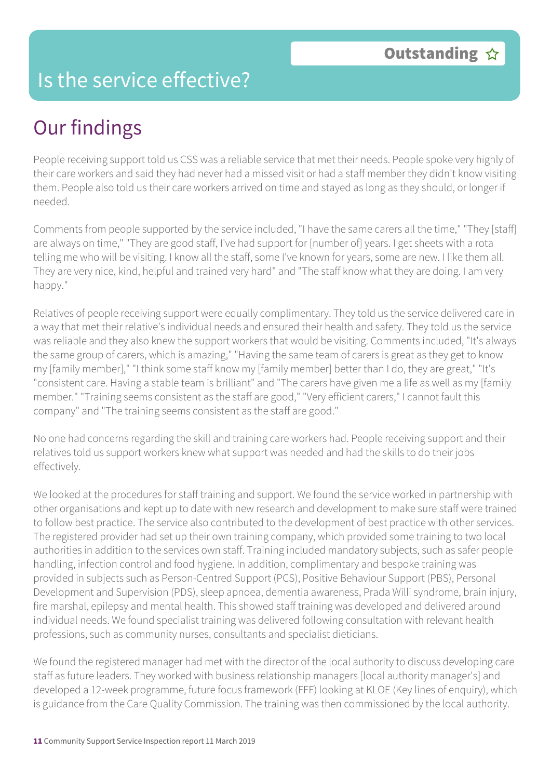### Is the service effective?

# Our findings

People receiving support told us CSS was a reliable service that met their needs. People spoke very highly of their care workers and said they had never had a missed visit or had a staff member they didn't know visiting them. People also told us their care workers arrived on time and stayed as long as they should, or longer if needed.

Comments from people supported by the service included, "I have the same carers all the time," "They [staff] are always on time," "They are good staff, I've had support for [number of] years. I get sheets with a rota telling me who will be visiting. I know all the staff, some I've known for years, some are new. I like them all. They are very nice, kind, helpful and trained very hard" and "The staff know what they are doing. I am very happy."

Relatives of people receiving support were equally complimentary. They told us the service delivered care in a way that met their relative's individual needs and ensured their health and safety. They told us the service was reliable and they also knew the support workers that would be visiting. Comments included, "It's always the same group of carers, which is amazing," "Having the same team of carers is great as they get to know my [family member]," "I think some staff know my [family member] better than I do, they are great," "It's "consistent care. Having a stable team is brilliant" and "The carers have given me a life as well as my [family member." "Training seems consistent as the staff are good," "Very efficient carers," I cannot fault this company" and "The training seems consistent as the staff are good."

No one had concerns regarding the skill and training care workers had. People receiving support and their relatives told us support workers knew what support was needed and had the skills to do their jobs effectively.

We looked at the procedures for staff training and support. We found the service worked in partnership with other organisations and kept up to date with new research and development to make sure staff were trained to follow best practice. The service also contributed to the development of best practice with other services. The registered provider had set up their own training company, which provided some training to two local authorities in addition to the services own staff. Training included mandatory subjects, such as safer people handling, infection control and food hygiene. In addition, complimentary and bespoke training was provided in subjects such as Person-Centred Support (PCS), Positive Behaviour Support (PBS), Personal Development and Supervision (PDS), sleep apnoea, dementia awareness, Prada Willi syndrome, brain injury, fire marshal, epilepsy and mental health. This showed staff training was developed and delivered around individual needs. We found specialist training was delivered following consultation with relevant health professions, such as community nurses, consultants and specialist dieticians.

We found the registered manager had met with the director of the local authority to discuss developing care staff as future leaders. They worked with business relationship managers [local authority manager's] and developed a 12-week programme, future focus framework (FFF) looking at KLOE (Key lines of enquiry), which is guidance from the Care Quality Commission. The training was then commissioned by the local authority.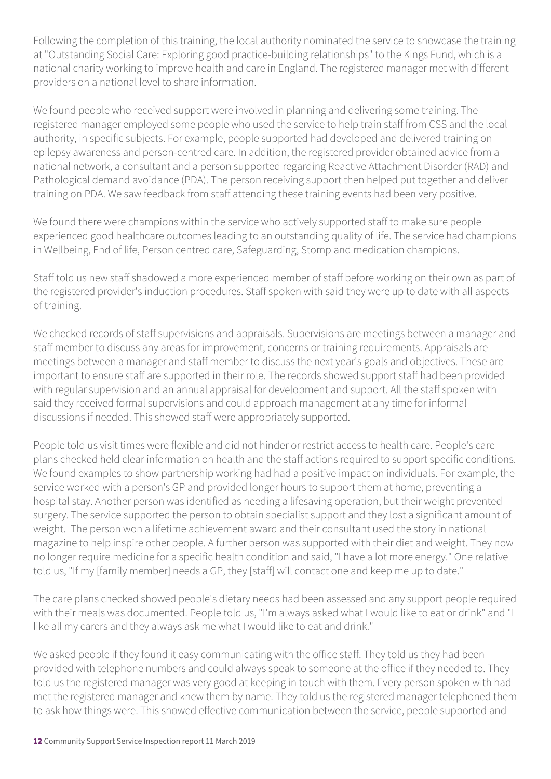Following the completion of this training, the local authority nominated the service to showcase the training at "Outstanding Social Care: Exploring good practice-building relationships" to the Kings Fund, which is a national charity working to improve health and care in England. The registered manager met with different providers on a national level to share information.

We found people who received support were involved in planning and delivering some training. The registered manager employed some people who used the service to help train staff from CSS and the local authority, in specific subjects. For example, people supported had developed and delivered training on epilepsy awareness and person-centred care. In addition, the registered provider obtained advice from a national network, a consultant and a person supported regarding Reactive Attachment Disorder (RAD) and Pathological demand avoidance (PDA). The person receiving support then helped put together and deliver training on PDA. We saw feedback from staff attending these training events had been very positive.

We found there were champions within the service who actively supported staff to make sure people experienced good healthcare outcomes leading to an outstanding quality of life. The service had champions in Wellbeing, End of life, Person centred care, Safeguarding, Stomp and medication champions.

Staff told us new staff shadowed a more experienced member of staff before working on their own as part of the registered provider's induction procedures. Staff spoken with said they were up to date with all aspects of training.

We checked records of staff supervisions and appraisals. Supervisions are meetings between a manager and staff member to discuss any areas for improvement, concerns or training requirements. Appraisals are meetings between a manager and staff member to discuss the next year's goals and objectives. These are important to ensure staff are supported in their role. The records showed support staff had been provided with regular supervision and an annual appraisal for development and support. All the staff spoken with said they received formal supervisions and could approach management at any time for informal discussions if needed. This showed staff were appropriately supported.

People told us visit times were flexible and did not hinder or restrict access to health care. People's care plans checked held clear information on health and the staff actions required to support specific conditions. We found examples to show partnership working had had a positive impact on individuals. For example, the service worked with a person's GP and provided longer hours to support them at home, preventing a hospital stay. Another person was identified as needing a lifesaving operation, but their weight prevented surgery. The service supported the person to obtain specialist support and they lost a significant amount of weight. The person won a lifetime achievement award and their consultant used the story in national magazine to help inspire other people. A further person was supported with their diet and weight. They now no longer require medicine for a specific health condition and said, "I have a lot more energy." One relative told us, "If my [family member] needs a GP, they [staff] will contact one and keep me up to date."

The care plans checked showed people's dietary needs had been assessed and any support people required with their meals was documented. People told us, "I'm always asked what I would like to eat or drink" and "I like all my carers and they always ask me what I would like to eat and drink."

We asked people if they found it easy communicating with the office staff. They told us they had been provided with telephone numbers and could always speak to someone at the office if they needed to. They told us the registered manager was very good at keeping in touch with them. Every person spoken with had met the registered manager and knew them by name. They told us the registered manager telephoned them to ask how things were. This showed effective communication between the service, people supported and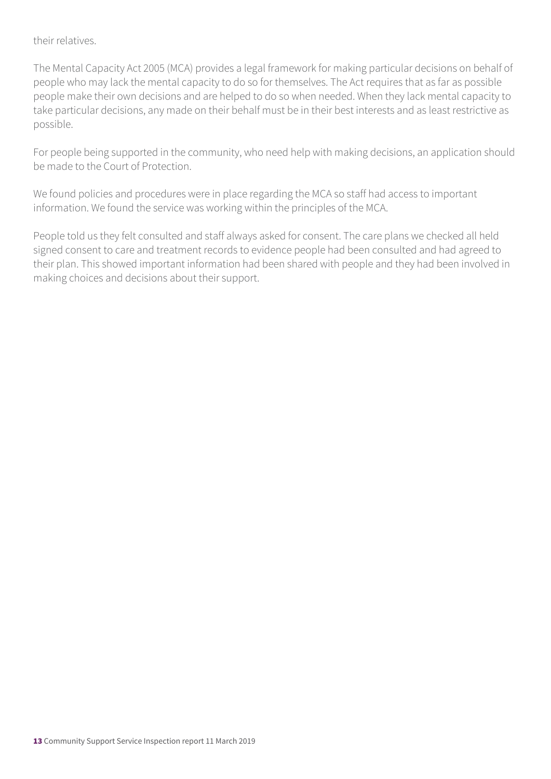their relatives.

The Mental Capacity Act 2005 (MCA) provides a legal framework for making particular decisions on behalf of people who may lack the mental capacity to do so for themselves. The Act requires that as far as possible people make their own decisions and are helped to do so when needed. When they lack mental capacity to take particular decisions, any made on their behalf must be in their best interests and as least restrictive as possible.

For people being supported in the community, who need help with making decisions, an application should be made to the Court of Protection.

We found policies and procedures were in place regarding the MCA so staff had access to important information. We found the service was working within the principles of the MCA.

People told us they felt consulted and staff always asked for consent. The care plans we checked all held signed consent to care and treatment records to evidence people had been consulted and had agreed to their plan. This showed important information had been shared with people and they had been involved in making choices and decisions about their support.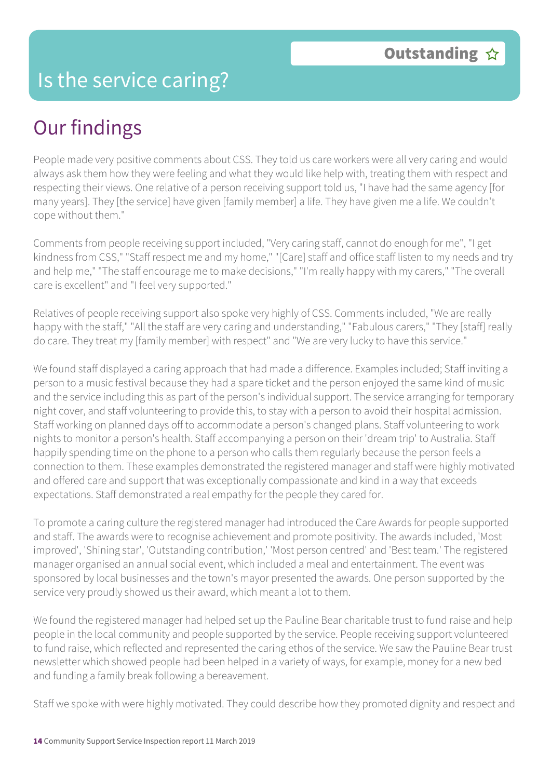### Is the service caring?

# Our findings

People made very positive comments about CSS. They told us care workers were all very caring and would always ask them how they were feeling and what they would like help with, treating them with respect and respecting their views. One relative of a person receiving support told us, "I have had the same agency [for many years]. They [the service] have given [family member] a life. They have given me a life. We couldn't cope without them."

Comments from people receiving support included, "Very caring staff, cannot do enough for me", "I get kindness from CSS," "Staff respect me and my home," "[Care] staff and office staff listen to my needs and try and help me," "The staff encourage me to make decisions," "I'm really happy with my carers," "The overall care is excellent" and "I feel very supported."

Relatives of people receiving support also spoke very highly of CSS. Comments included, "We are really happy with the staff," "All the staff are very caring and understanding," "Fabulous carers," "They [staff] really do care. They treat my [family member] with respect" and "We are very lucky to have this service."

We found staff displayed a caring approach that had made a difference. Examples included; Staff inviting a person to a music festival because they had a spare ticket and the person enjoyed the same kind of music and the service including this as part of the person's individual support. The service arranging for temporary night cover, and staff volunteering to provide this, to stay with a person to avoid their hospital admission. Staff working on planned days off to accommodate a person's changed plans. Staff volunteering to work nights to monitor a person's health. Staff accompanying a person on their 'dream trip' to Australia. Staff happily spending time on the phone to a person who calls them regularly because the person feels a connection to them. These examples demonstrated the registered manager and staff were highly motivated and offered care and support that was exceptionally compassionate and kind in a way that exceeds expectations. Staff demonstrated a real empathy for the people they cared for.

To promote a caring culture the registered manager had introduced the Care Awards for people supported and staff. The awards were to recognise achievement and promote positivity. The awards included, 'Most improved', 'Shining star', 'Outstanding contribution,' 'Most person centred' and 'Best team.' The registered manager organised an annual social event, which included a meal and entertainment. The event was sponsored by local businesses and the town's mayor presented the awards. One person supported by the service very proudly showed us their award, which meant a lot to them.

We found the registered manager had helped set up the Pauline Bear charitable trust to fund raise and help people in the local community and people supported by the service. People receiving support volunteered to fund raise, which reflected and represented the caring ethos of the service. We saw the Pauline Bear trust newsletter which showed people had been helped in a variety of ways, for example, money for a new bed and funding a family break following a bereavement.

Staff we spoke with were highly motivated. They could describe how they promoted dignity and respect and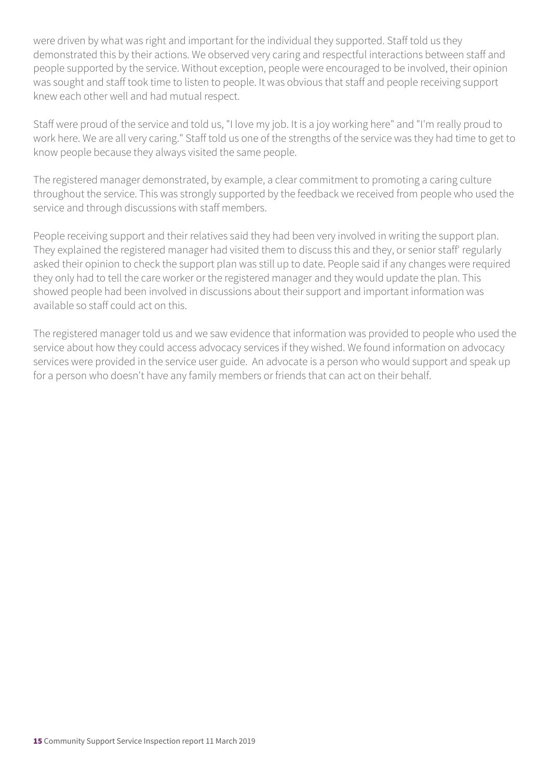were driven by what was right and important for the individual they supported. Staff told us they demonstrated this by their actions. We observed very caring and respectful interactions between staff and people supported by the service. Without exception, people were encouraged to be involved, their opinion was sought and staff took time to listen to people. It was obvious that staff and people receiving support knew each other well and had mutual respect.

Staff were proud of the service and told us, "I love my job. It is a joy working here" and "I'm really proud to work here. We are all very caring." Staff told us one of the strengths of the service was they had time to get to know people because they always visited the same people.

The registered manager demonstrated, by example, a clear commitment to promoting a caring culture throughout the service. This was strongly supported by the feedback we received from people who used the service and through discussions with staff members.

People receiving support and their relatives said they had been very involved in writing the support plan. They explained the registered manager had visited them to discuss this and they, or senior staff' regularly asked their opinion to check the support plan was still up to date. People said if any changes were required they only had to tell the care worker or the registered manager and they would update the plan. This showed people had been involved in discussions about their support and important information was available so staff could act on this.

The registered manager told us and we saw evidence that information was provided to people who used the service about how they could access advocacy services if they wished. We found information on advocacy services were provided in the service user guide. An advocate is a person who would support and speak up for a person who doesn't have any family members or friends that can act on their behalf.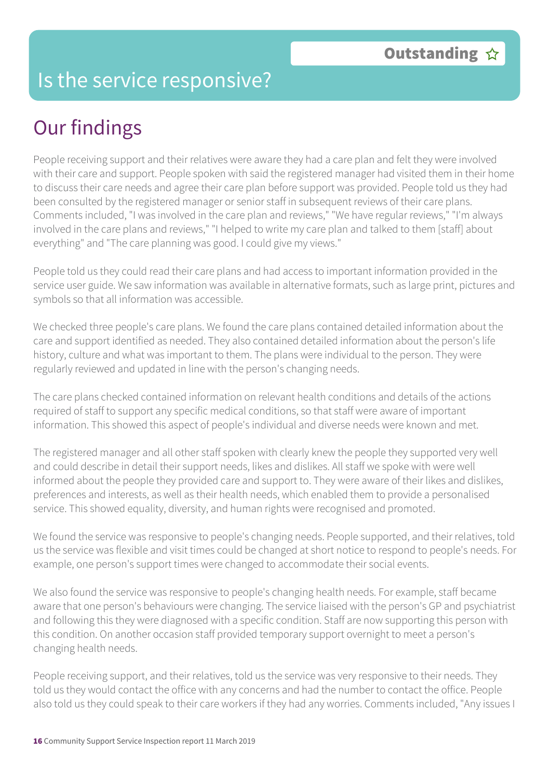### Is the service responsive?

# Our findings

People receiving support and their relatives were aware they had a care plan and felt they were involved with their care and support. People spoken with said the registered manager had visited them in their home to discuss their care needs and agree their care plan before support was provided. People told us they had been consulted by the registered manager or senior staff in subsequent reviews of their care plans. Comments included, "I was involved in the care plan and reviews," "We have regular reviews," "I'm always involved in the care plans and reviews," "I helped to write my care plan and talked to them [staff] about everything" and "The care planning was good. I could give my views."

People told us they could read their care plans and had access to important information provided in the service user guide. We saw information was available in alternative formats, such as large print, pictures and symbols so that all information was accessible.

We checked three people's care plans. We found the care plans contained detailed information about the care and support identified as needed. They also contained detailed information about the person's life history, culture and what was important to them. The plans were individual to the person. They were regularly reviewed and updated in line with the person's changing needs.

The care plans checked contained information on relevant health conditions and details of the actions required of staff to support any specific medical conditions, so that staff were aware of important information. This showed this aspect of people's individual and diverse needs were known and met.

The registered manager and all other staff spoken with clearly knew the people they supported very well and could describe in detail their support needs, likes and dislikes. All staff we spoke with were well informed about the people they provided care and support to. They were aware of their likes and dislikes, preferences and interests, as well as their health needs, which enabled them to provide a personalised service. This showed equality, diversity, and human rights were recognised and promoted.

We found the service was responsive to people's changing needs. People supported, and their relatives, told us the service was flexible and visit times could be changed at short notice to respond to people's needs. For example, one person's support times were changed to accommodate their social events.

We also found the service was responsive to people's changing health needs. For example, staff became aware that one person's behaviours were changing. The service liaised with the person's GP and psychiatrist and following this they were diagnosed with a specific condition. Staff are now supporting this person with this condition. On another occasion staff provided temporary support overnight to meet a person's changing health needs.

People receiving support, and their relatives, told us the service was very responsive to their needs. They told us they would contact the office with any concerns and had the number to contact the office. People also told us they could speak to their care workers if they had any worries. Comments included, "Any issues I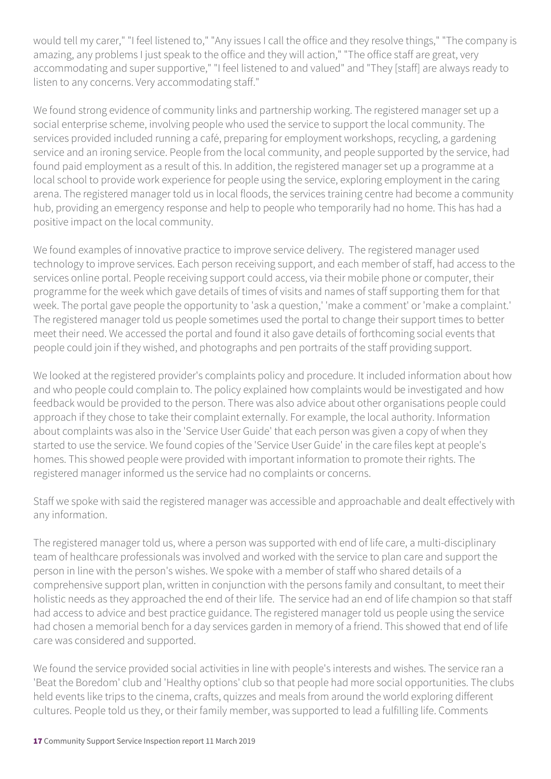would tell my carer," "I feel listened to," "Any issues I call the office and they resolve things," "The company is amazing, any problems I just speak to the office and they will action," "The office staff are great, very accommodating and super supportive," "I feel listened to and valued" and "They [staff] are always ready to listen to any concerns. Very accommodating staff."

We found strong evidence of community links and partnership working. The registered manager set up a social enterprise scheme, involving people who used the service to support the local community. The services provided included running a café, preparing for employment workshops, recycling, a gardening service and an ironing service. People from the local community, and people supported by the service, had found paid employment as a result of this. In addition, the registered manager set up a programme at a local school to provide work experience for people using the service, exploring employment in the caring arena. The registered manager told us in local floods, the services training centre had become a community hub, providing an emergency response and help to people who temporarily had no home. This has had a positive impact on the local community.

We found examples of innovative practice to improve service delivery. The registered manager used technology to improve services. Each person receiving support, and each member of staff, had access to the services online portal. People receiving support could access, via their mobile phone or computer, their programme for the week which gave details of times of visits and names of staff supporting them for that week. The portal gave people the opportunity to 'ask a question,' 'make a comment' or 'make a complaint.' The registered manager told us people sometimes used the portal to change their support times to better meet their need. We accessed the portal and found it also gave details of forthcoming social events that people could join if they wished, and photographs and pen portraits of the staff providing support.

We looked at the registered provider's complaints policy and procedure. It included information about how and who people could complain to. The policy explained how complaints would be investigated and how feedback would be provided to the person. There was also advice about other organisations people could approach if they chose to take their complaint externally. For example, the local authority. Information about complaints was also in the 'Service User Guide' that each person was given a copy of when they started to use the service. We found copies of the 'Service User Guide' in the care files kept at people's homes. This showed people were provided with important information to promote their rights. The registered manager informed us the service had no complaints or concerns.

Staff we spoke with said the registered manager was accessible and approachable and dealt effectively with any information.

The registered manager told us, where a person was supported with end of life care, a multi-disciplinary team of healthcare professionals was involved and worked with the service to plan care and support the person in line with the person's wishes. We spoke with a member of staff who shared details of a comprehensive support plan, written in conjunction with the persons family and consultant, to meet their holistic needs as they approached the end of their life. The service had an end of life champion so that staff had access to advice and best practice guidance. The registered manager told us people using the service had chosen a memorial bench for a day services garden in memory of a friend. This showed that end of life care was considered and supported.

We found the service provided social activities in line with people's interests and wishes. The service ran a 'Beat the Boredom' club and 'Healthy options' club so that people had more social opportunities. The clubs held events like trips to the cinema, crafts, quizzes and meals from around the world exploring different cultures. People told us they, or their family member, was supported to lead a fulfilling life. Comments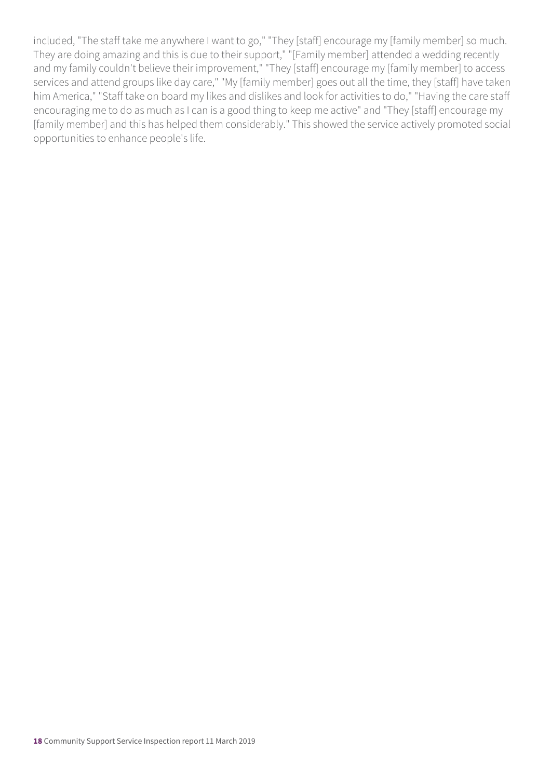included, "The staff take me anywhere I want to go," "They [staff] encourage my [family member] so much. They are doing amazing and this is due to their support," "[Family member] attended a wedding recently and my family couldn't believe their improvement," "They [staff] encourage my [family member] to access services and attend groups like day care," "My [family member] goes out all the time, they [staff] have taken him America," "Staff take on board my likes and dislikes and look for activities to do," "Having the care staff encouraging me to do as much as I can is a good thing to keep me active" and "They [staff] encourage my [family member] and this has helped them considerably." This showed the service actively promoted social opportunities to enhance people's life.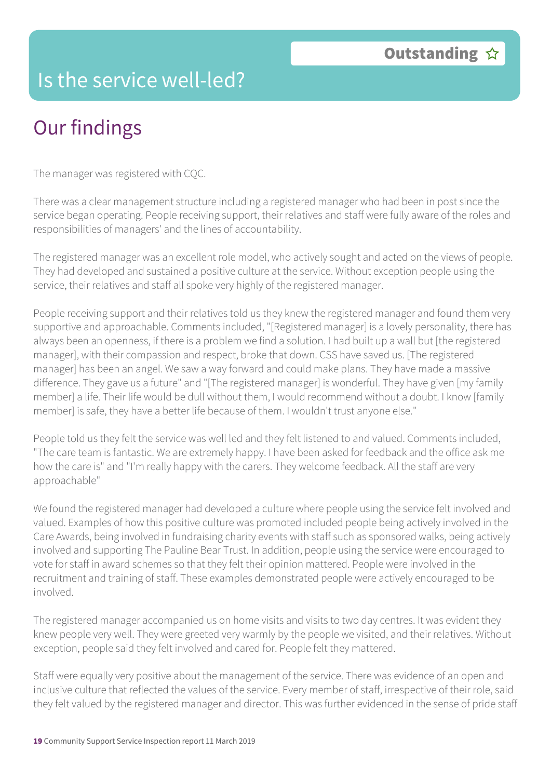### Is the service well-led?

# Our findings

The manager was registered with CQC.

There was a clear management structure including a registered manager who had been in post since the service began operating. People receiving support, their relatives and staff were fully aware of the roles and responsibilities of managers' and the lines of accountability.

The registered manager was an excellent role model, who actively sought and acted on the views of people. They had developed and sustained a positive culture at the service. Without exception people using the service, their relatives and staff all spoke very highly of the registered manager.

People receiving support and their relatives told us they knew the registered manager and found them very supportive and approachable. Comments included, "[Registered manager] is a lovely personality, there has always been an openness, if there is a problem we find a solution. I had built up a wall but [the registered manager], with their compassion and respect, broke that down. CSS have saved us. [The registered manager] has been an angel. We saw a way forward and could make plans. They have made a massive difference. They gave us a future" and "[The registered manager] is wonderful. They have given [my family member] a life. Their life would be dull without them, I would recommend without a doubt. I know [family member] is safe, they have a better life because of them. I wouldn't trust anyone else."

People told us they felt the service was well led and they felt listened to and valued. Comments included, "The care team is fantastic. We are extremely happy. I have been asked for feedback and the office ask me how the care is" and "I'm really happy with the carers. They welcome feedback. All the staff are very approachable"

We found the registered manager had developed a culture where people using the service felt involved and valued. Examples of how this positive culture was promoted included people being actively involved in the Care Awards, being involved in fundraising charity events with staff such as sponsored walks, being actively involved and supporting The Pauline Bear Trust. In addition, people using the service were encouraged to vote for staff in award schemes so that they felt their opinion mattered. People were involved in the recruitment and training of staff. These examples demonstrated people were actively encouraged to be involved.

The registered manager accompanied us on home visits and visits to two day centres. It was evident they knew people very well. They were greeted very warmly by the people we visited, and their relatives. Without exception, people said they felt involved and cared for. People felt they mattered.

Staff were equally very positive about the management of the service. There was evidence of an open and inclusive culture that reflected the values of the service. Every member of staff, irrespective of their role, said they felt valued by the registered manager and director. This was further evidenced in the sense of pride staff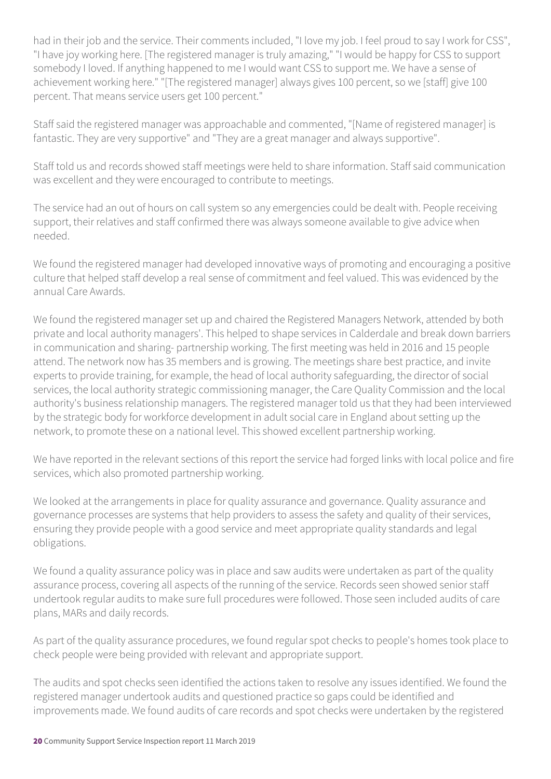had in their job and the service. Their comments included, "I love my job. I feel proud to say I work for CSS", "I have joy working here. [The registered manager is truly amazing," "I would be happy for CSS to support somebody I loved. If anything happened to me I would want CSS to support me. We have a sense of achievement working here." "[The registered manager] always gives 100 percent, so we [staff] give 100 percent. That means service users get 100 percent."

Staff said the registered manager was approachable and commented, "[Name of registered manager] is fantastic. They are very supportive" and "They are a great manager and always supportive".

Staff told us and records showed staff meetings were held to share information. Staff said communication was excellent and they were encouraged to contribute to meetings.

The service had an out of hours on call system so any emergencies could be dealt with. People receiving support, their relatives and staff confirmed there was always someone available to give advice when needed.

We found the registered manager had developed innovative ways of promoting and encouraging a positive culture that helped staff develop a real sense of commitment and feel valued. This was evidenced by the annual Care Awards.

We found the registered manager set up and chaired the Registered Managers Network, attended by both private and local authority managers'. This helped to shape services in Calderdale and break down barriers in communication and sharing- partnership working. The first meeting was held in 2016 and 15 people attend. The network now has 35 members and is growing. The meetings share best practice, and invite experts to provide training, for example, the head of local authority safeguarding, the director of social services, the local authority strategic commissioning manager, the Care Quality Commission and the local authority's business relationship managers. The registered manager told us that they had been interviewed by the strategic body for workforce development in adult social care in England about setting up the network, to promote these on a national level. This showed excellent partnership working.

We have reported in the relevant sections of this report the service had forged links with local police and fire services, which also promoted partnership working.

We looked at the arrangements in place for quality assurance and governance. Quality assurance and governance processes are systems that help providers to assess the safety and quality of their services, ensuring they provide people with a good service and meet appropriate quality standards and legal obligations.

We found a quality assurance policy was in place and saw audits were undertaken as part of the quality assurance process, covering all aspects of the running of the service. Records seen showed senior staff undertook regular audits to make sure full procedures were followed. Those seen included audits of care plans, MARs and daily records.

As part of the quality assurance procedures, we found regular spot checks to people's homes took place to check people were being provided with relevant and appropriate support.

The audits and spot checks seen identified the actions taken to resolve any issues identified. We found the registered manager undertook audits and questioned practice so gaps could be identified and improvements made. We found audits of care records and spot checks were undertaken by the registered